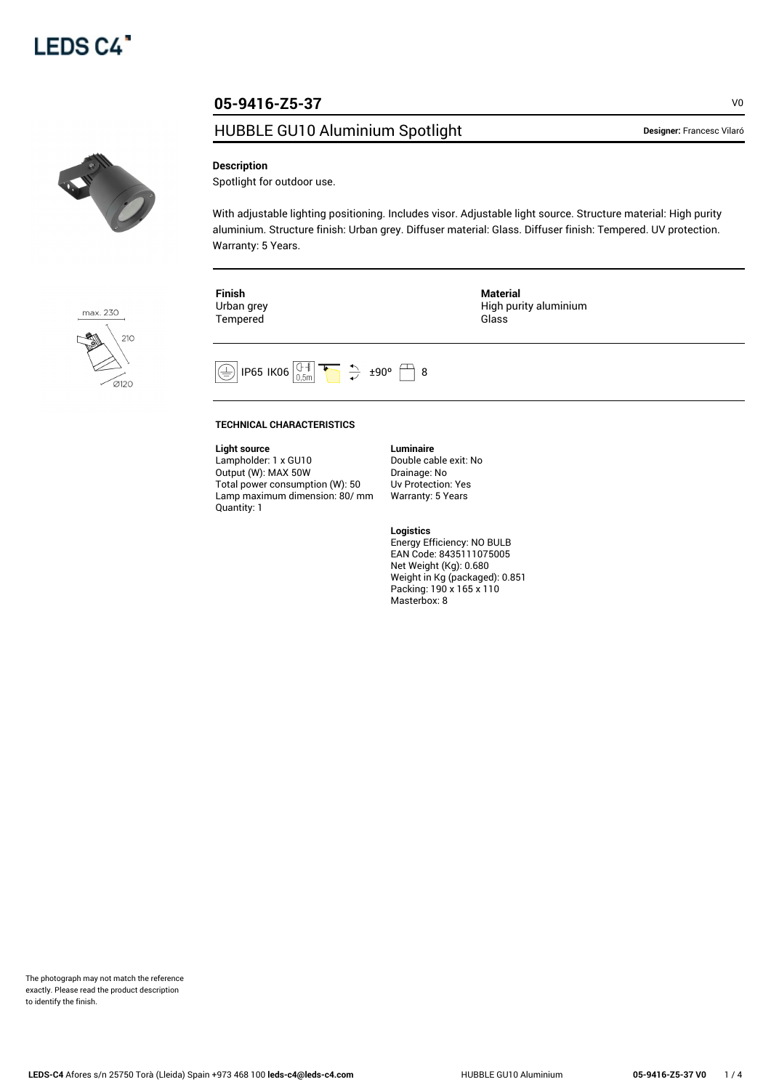# **05-9416-Z5-37** VO

# HUBBLE GU10 Aluminium Spotlight **Designer: Francesc Vilaró**



max. 230

 $21C$ 

 $\mathcal{D}$ 120

### **Description**

Spotlight for outdoor use.

With adjustable lighting positioning. Includes visor. Adjustable light source. Structure material: High purity aluminium. Structure finish: Urban grey. Diffuser material: Glass. Diffuser finish: Tempered. UV protection. Warranty: 5 Years.

| Finish     | Material              |
|------------|-----------------------|
| Urban grey | High purity aluminium |
| Tempered   | Glass                 |
|            |                       |



#### **TECHNICAL CHARACTERISTICS**

**Light source**

Lampholder: 1 x GU10 Output (W): MAX 50W Total power consumption (W): 50 Lamp maximum dimension: 80/ mm Quantity: 1

**Luminaire** Double cable exit: No Drainage: No Uv Protection: Yes Warranty: 5 Years

#### **Logistics**

Energy Efficiency: NO BULB EAN Code: 8435111075005 Net Weight (Kg): 0.680 Weight in Kg (packaged): 0.851 Packing: 190 x 165 x 110 Masterbox: 8

The photograph may not match the reference exactly. Please read the product description to identify the finish.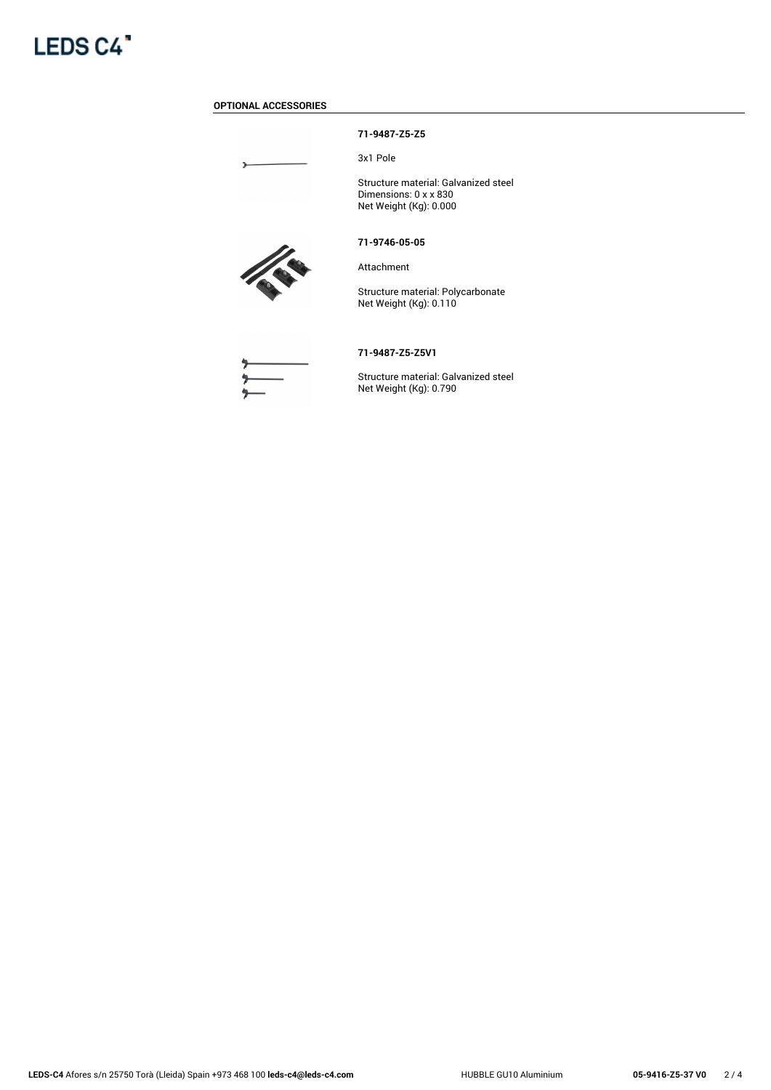

# **OPTIONAL ACCESSORIES**

Þ

# **71-9487-Z5-Z5**

3x1 Pole

Structure material: Galvanized steel Dimensions: 0 x x 830 Net Weight (Kg): 0.000

#### **71-9746-05-05**



Attachment

Structure material: Polycarbonate Net Weight (Kg): 0.110



#### **71-9487-Z5-Z5V1**

Structure material: Galvanized steel Net Weight (Kg): 0.790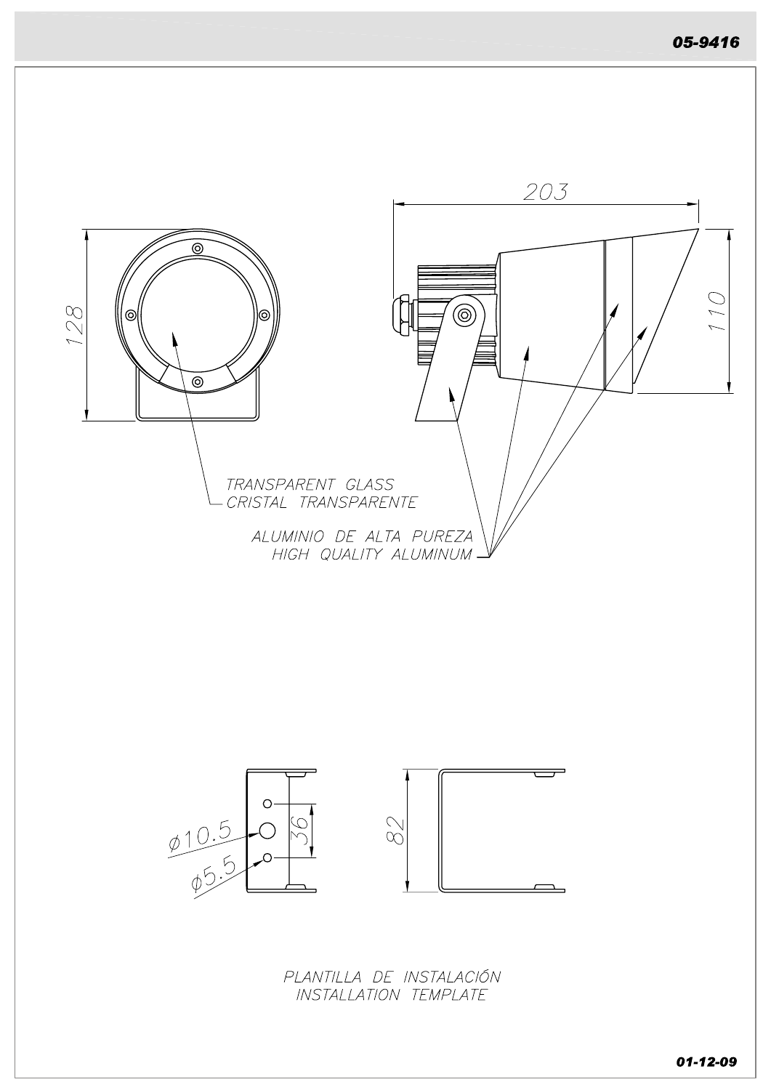